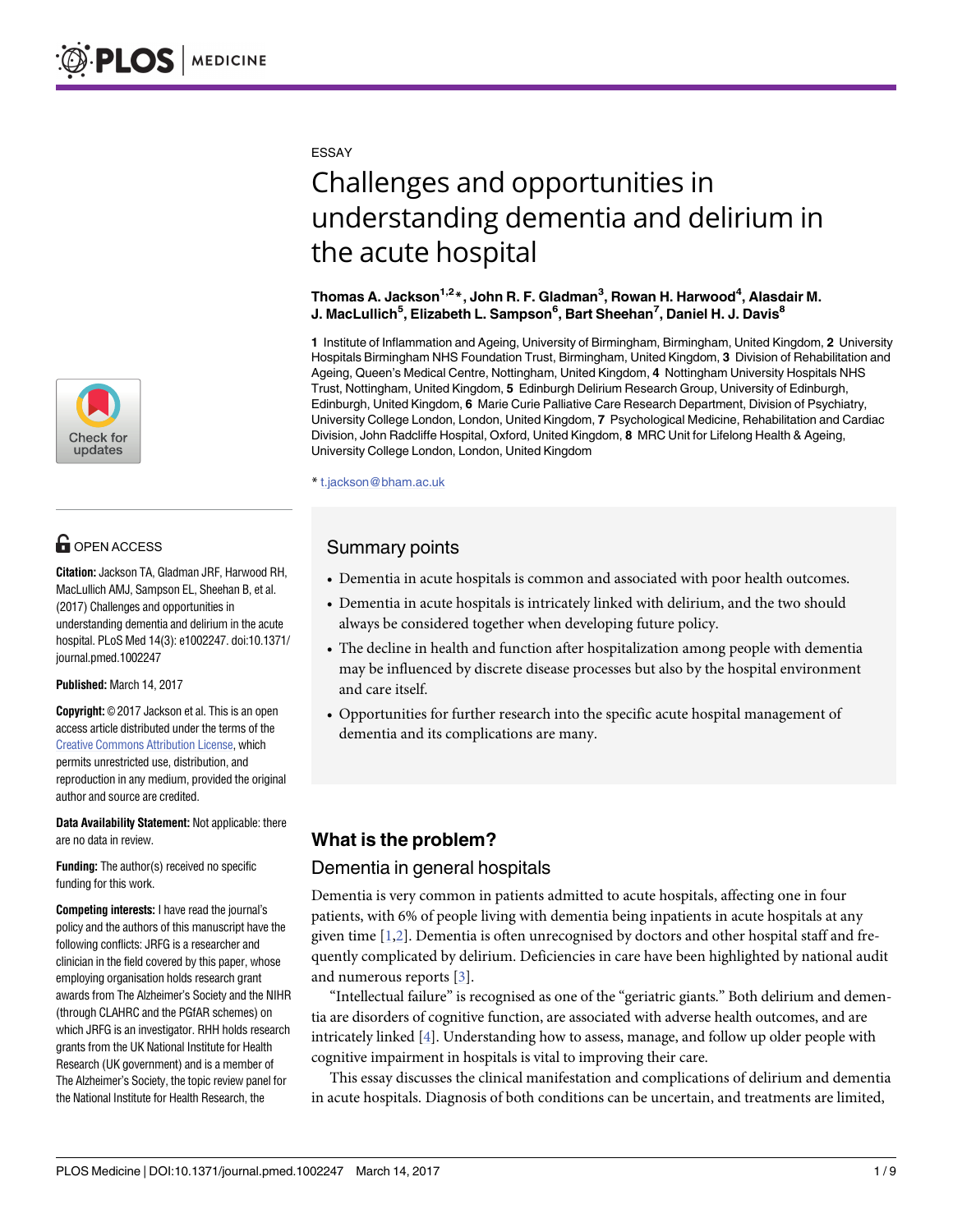

## **G** OPEN ACCESS

**Citation:** Jackson TA, Gladman JRF, Harwood RH, MacLullich AMJ, Sampson EL, Sheehan B, et al. (2017) Challenges and opportunities in understanding dementia and delirium in the acute hospital. PLoS Med 14(3): e1002247. doi:10.1371/ journal.pmed.1002247

**Published:** March 14, 2017

**Copyright:** © 2017 Jackson et al. This is an open access article distributed under the terms of the Creative Commons [Attribution](http://creativecommons.org/licenses/by/4.0/) License, which permits unrestricted use, distribution, and reproduction in any medium, provided the original author and source are credited.

**Data Availability Statement:** Not applicable: there are no data in review.

**Funding:** The author(s) received no specific funding for this work.

**Competing interests:** I have read the journal's policy and the authors of this manuscript have the following conflicts: JRFG is a researcher and clinician in the field covered by this paper, whose employing organisation holds research grant awards from The Alzheimer's Society and the NIHR (through CLAHRC and the PGfAR schemes) on which JRFG is an investigator. RHH holds research grants from the UK National Institute for Health Research (UK government) and is a member of The Alzheimer's Society, the topic review panel for the National Institute for Health Research, the

<span id="page-0-0"></span>ESSAY

# Challenges and opportunities in understanding dementia and delirium in the acute hospital

#### **Thomas A. Jackson1,2\*, John R. F. Gladman3 , Rowan H. Harwood4 , Alasdair M. J. MacLullich5 , Elizabeth L. Sampson6 , Bart Sheehan7 , Daniel H. J. Davis8**

**1** Institute of Inflammation and Ageing, University of Birmingham, Birmingham, United Kingdom, **2** University Hospitals Birmingham NHS Foundation Trust, Birmingham, United Kingdom, **3** Division of Rehabilitation and Ageing, Queen's Medical Centre, Nottingham, United Kingdom, **4** Nottingham University Hospitals NHS Trust, Nottingham, United Kingdom, **5** Edinburgh Delirium Research Group, University of Edinburgh, Edinburgh, United Kingdom, **6** Marie Curie Palliative Care Research Department, Division of Psychiatry, University College London, London, United Kingdom, **7** Psychological Medicine, Rehabilitation and Cardiac Division, John Radcliffe Hospital, Oxford, United Kingdom, **8** MRC Unit for Lifelong Health & Ageing, University College London, London, United Kingdom

\* t.jackson@bham.ac.uk

### Summary points

- Dementia in acute hospitals is common and associated with poor health outcomes.
- Dementia in acute hospitals is intricately linked with delirium, and the two should always be considered together when developing future policy.
- The decline in health and function after hospitalization among people with dementia may be influenced by discrete disease processes but also by the hospital environment and care itself.
- Opportunities for further research into the specific acute hospital management of dementia and its complications are many.

## **What is the problem?**

#### Dementia in general hospitals

Dementia is very common in patients admitted to acute hospitals, affecting one in four patients, with 6% of people living with dementia being inpatients in acute hospitals at any given time [\[1,2](#page-5-0)]. Dementia is often unrecognised by doctors and other hospital staff and frequently complicated by delirium. Deficiencies in care have been highlighted by national audit and numerous reports [\[3](#page-5-0)].

"Intellectual failure" is recognised as one of the "geriatric giants." Both delirium and dementia are disorders of cognitive function, are associated with adverse health outcomes, and are intricately linked [\[4\]](#page-5-0). Understanding how to assess, manage, and follow up older people with cognitive impairment in hospitals is vital to improving their care.

This essay discusses the clinical manifestation and complications of delirium and dementia in acute hospitals. Diagnosis of both conditions can be uncertain, and treatments are limited,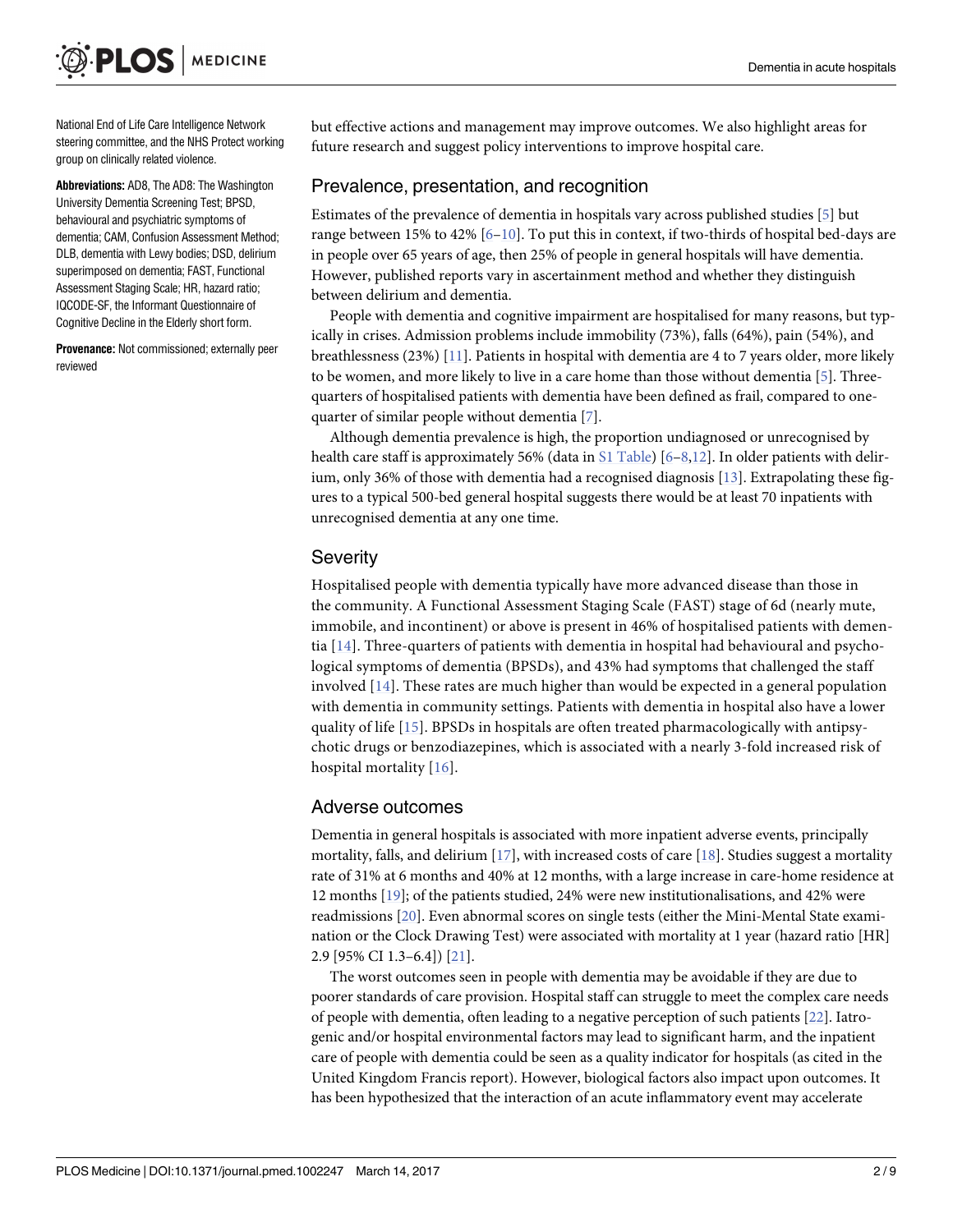<span id="page-1-0"></span>National End of Life Care Intelligence Network steering committee, and the NHS Protect working group on clinically related violence.

**Abbreviations:** AD8, The AD8: The Washington University Dementia Screening Test; BPSD, behavioural and psychiatric symptoms of dementia; CAM, Confusion Assessment Method; DLB, dementia with Lewy bodies; DSD, delirium superimposed on dementia; FAST, Functional Assessment Staging Scale; HR, hazard ratio; IQCODE-SF, the Informant Questionnaire of Cognitive Decline in the Elderly short form.

**Provenance:** Not commissioned; externally peer reviewed

but effective actions and management may improve outcomes. We also highlight areas for future research and suggest policy interventions to improve hospital care.

#### Prevalence, presentation, and recognition

Estimates of the prevalence of dementia in hospitals vary across published studies [\[5](#page-5-0)] but range between 15% to 42% [\[6–](#page-5-0)[10\]](#page-6-0). To put this in context, if two-thirds of hospital bed-days are in people over 65 years of age, then 25% of people in general hospitals will have dementia. However, published reports vary in ascertainment method and whether they distinguish between delirium and dementia.

People with dementia and cognitive impairment are hospitalised for many reasons, but typically in crises. Admission problems include immobility (73%), falls (64%), pain (54%), and breathlessness (23%) [\[11\]](#page-6-0). Patients in hospital with dementia are 4 to 7 years older, more likely to be women, and more likely to live in a care home than those without dementia [\[5\]](#page-5-0). Threequarters of hospitalised patients with dementia have been defined as frail, compared to onequarter of similar people without dementia [\[7](#page-5-0)].

Although dementia prevalence is high, the proportion undiagnosed or unrecognised by health care staff is approximately 56% (data in S1 [Table\)](#page-5-0) [[6–8](#page-5-0),[12](#page-6-0)]. In older patients with delirium, only 36% of those with dementia had a recognised diagnosis [[13](#page-6-0)]. Extrapolating these figures to a typical 500-bed general hospital suggests there would be at least 70 inpatients with unrecognised dementia at any one time.

#### **Severity**

Hospitalised people with dementia typically have more advanced disease than those in the community. A Functional Assessment Staging Scale (FAST) stage of 6d (nearly mute, immobile, and incontinent) or above is present in 46% of hospitalised patients with dementia [\[14\]](#page-6-0). Three-quarters of patients with dementia in hospital had behavioural and psychological symptoms of dementia (BPSDs), and 43% had symptoms that challenged the staff involved [\[14\]](#page-6-0). These rates are much higher than would be expected in a general population with dementia in community settings. Patients with dementia in hospital also have a lower quality of life [\[15](#page-6-0)]. BPSDs in hospitals are often treated pharmacologically with antipsychotic drugs or benzodiazepines, which is associated with a nearly 3-fold increased risk of hospital mortality [[16\]](#page-6-0).

#### Adverse outcomes

Dementia in general hospitals is associated with more inpatient adverse events, principally mortality, falls, and delirium  $[17]$ , with increased costs of care  $[18]$ . Studies suggest a mortality rate of 31% at 6 months and 40% at 12 months, with a large increase in care-home residence at 12 months [[19](#page-6-0)]; of the patients studied, 24% were new institutionalisations, and 42% were readmissions [\[20\]](#page-6-0). Even abnormal scores on single tests (either the Mini-Mental State examination or the Clock Drawing Test) were associated with mortality at 1 year (hazard ratio [HR] 2.9 [95% CI 1.3–6.4]) [\[21\]](#page-6-0).

The worst outcomes seen in people with dementia may be avoidable if they are due to poorer standards of care provision. Hospital staff can struggle to meet the complex care needs of people with dementia, often leading to a negative perception of such patients [[22](#page-6-0)]. Iatrogenic and/or hospital environmental factors may lead to significant harm, and the inpatient care of people with dementia could be seen as a quality indicator for hospitals (as cited in the United Kingdom Francis report). However, biological factors also impact upon outcomes. It has been hypothesized that the interaction of an acute inflammatory event may accelerate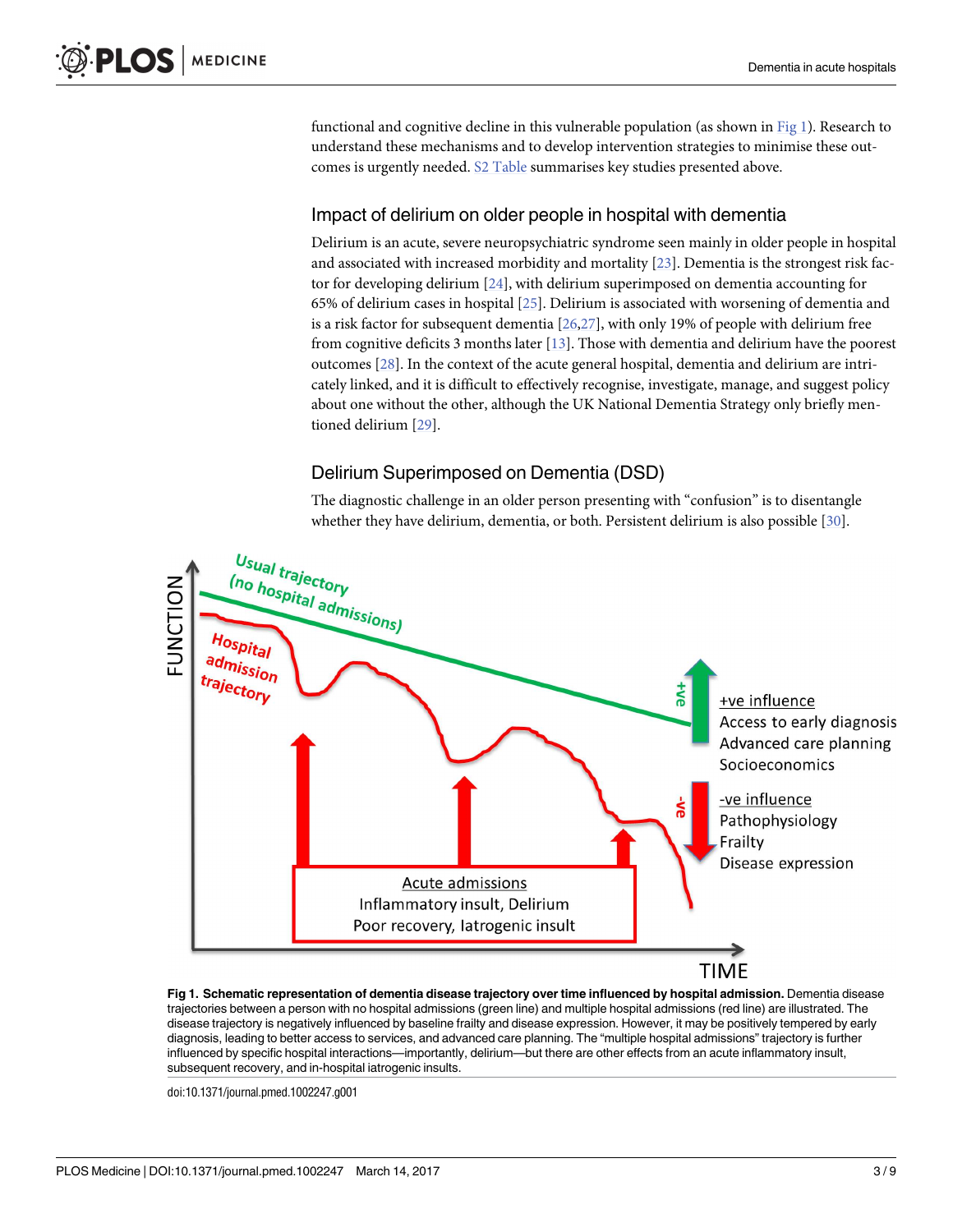<span id="page-2-0"></span>functional and cognitive decline in this vulnerable population (as shown in Fig 1). Research to understand these mechanisms and to develop intervention strategies to minimise these outcomes is urgently needed. S2 [Table](#page-5-0) summarises key studies presented above.

#### Impact of delirium on older people in hospital with dementia

Delirium is an acute, severe neuropsychiatric syndrome seen mainly in older people in hospital and associated with increased morbidity and mortality [\[23\]](#page-6-0). Dementia is the strongest risk factor for developing delirium [[24](#page-6-0)], with delirium superimposed on dementia accounting for 65% of delirium cases in hospital [[25](#page-6-0)]. Delirium is associated with worsening of dementia and is a risk factor for subsequent dementia [[26,27\]](#page-6-0), with only 19% of people with delirium free from cognitive deficits 3 months later [\[13\]](#page-6-0). Those with dementia and delirium have the poorest outcomes [\[28\]](#page-6-0). In the context of the acute general hospital, dementia and delirium are intricately linked, and it is difficult to effectively recognise, investigate, manage, and suggest policy about one without the other, although the UK National Dementia Strategy only briefly mentioned delirium [\[29\]](#page-7-0).

#### Delirium Superimposed on Dementia (DSD)

The diagnostic challenge in an older person presenting with "confusion" is to disentangle whether they have delirium, dementia, or both. Persistent delirium is also possible [\[30](#page-7-0)].



**Fig 1. Schematic representation of dementia disease trajectory over time influenced by hospital admission.** Dementia disease trajectories between a person with no hospital admissions (green line) and multiple hospital admissions (red line) are illustrated. The disease trajectory is negatively influenced by baseline frailty and disease expression. However, it may be positively tempered by early diagnosis, leading to better access to services, and advanced care planning. The "multiple hospital admissions" trajectory is further influenced by specific hospital interactions—importantly, delirium—but there are other effects from an acute inflammatory insult, subsequent recovery, and in-hospital iatrogenic insults.

doi:10.1371/journal.pmed.1002247.g001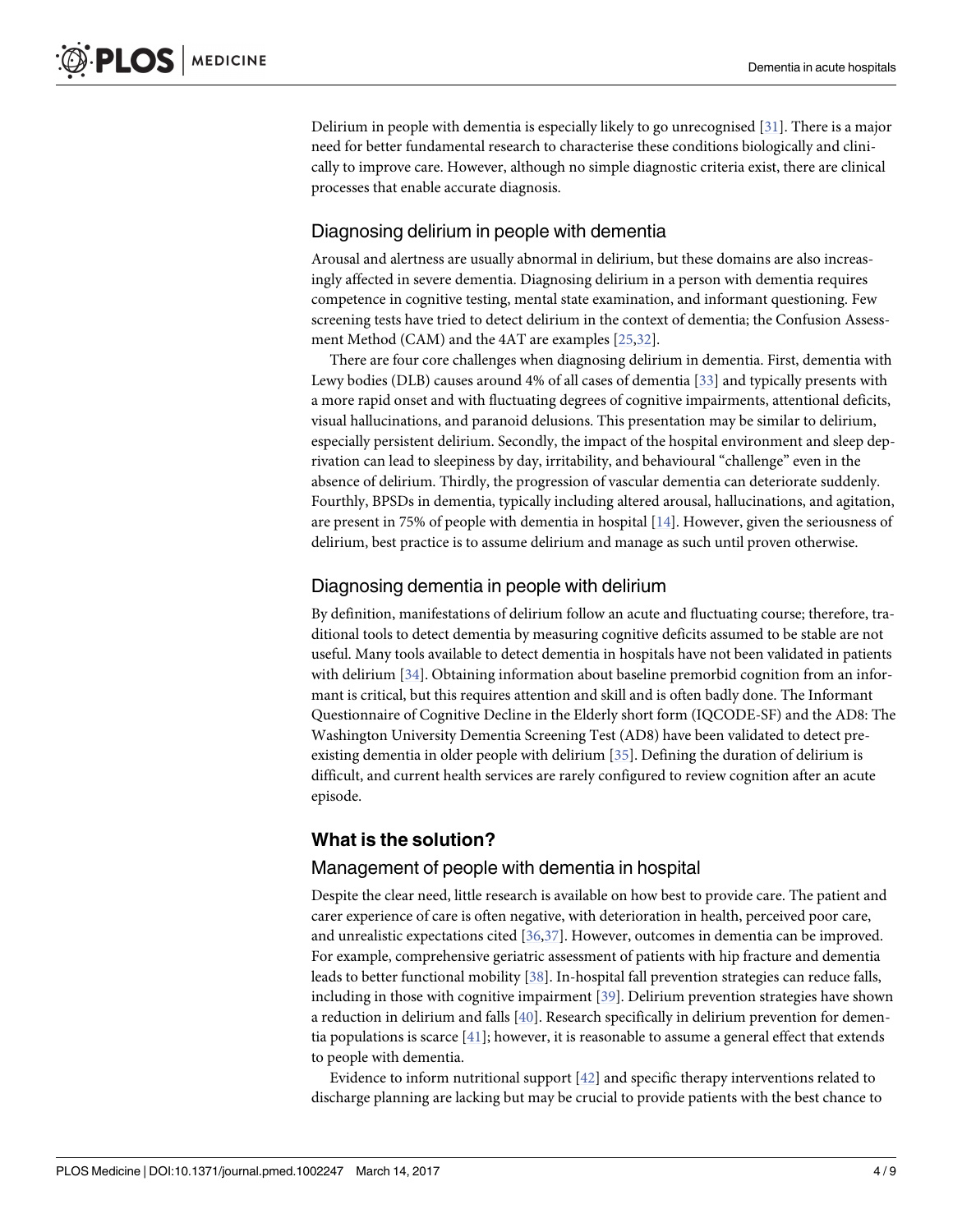<span id="page-3-0"></span>Delirium in people with dementia is especially likely to go unrecognised [\[31\]](#page-7-0). There is a major need for better fundamental research to characterise these conditions biologically and clinically to improve care. However, although no simple diagnostic criteria exist, there are clinical processes that enable accurate diagnosis.

#### Diagnosing delirium in people with dementia

Arousal and alertness are usually abnormal in delirium, but these domains are also increasingly affected in severe dementia. Diagnosing delirium in a person with dementia requires competence in cognitive testing, mental state examination, and informant questioning. Few screening tests have tried to detect delirium in the context of dementia; the Confusion Assessment Method (CAM) and the 4AT are examples [\[25,](#page-6-0)[32\]](#page-7-0).

There are four core challenges when diagnosing delirium in dementia. First, dementia with Lewy bodies (DLB) causes around 4% of all cases of dementia [\[33\]](#page-7-0) and typically presents with a more rapid onset and with fluctuating degrees of cognitive impairments, attentional deficits, visual hallucinations, and paranoid delusions. This presentation may be similar to delirium, especially persistent delirium. Secondly, the impact of the hospital environment and sleep deprivation can lead to sleepiness by day, irritability, and behavioural "challenge" even in the absence of delirium. Thirdly, the progression of vascular dementia can deteriorate suddenly. Fourthly, BPSDs in dementia, typically including altered arousal, hallucinations, and agitation, are present in 75% of people with dementia in hospital [[14](#page-6-0)]. However, given the seriousness of delirium, best practice is to assume delirium and manage as such until proven otherwise.

#### Diagnosing dementia in people with delirium

By definition, manifestations of delirium follow an acute and fluctuating course; therefore, traditional tools to detect dementia by measuring cognitive deficits assumed to be stable are not useful. Many tools available to detect dementia in hospitals have not been validated in patients with delirium [\[34\]](#page-7-0). Obtaining information about baseline premorbid cognition from an informant is critical, but this requires attention and skill and is often badly done. The Informant Questionnaire of Cognitive Decline in the Elderly short form (IQCODE-SF) and the AD8: The Washington University Dementia Screening Test (AD8) have been validated to detect preexisting dementia in older people with delirium [[35](#page-7-0)]. Defining the duration of delirium is difficult, and current health services are rarely configured to review cognition after an acute episode.

#### **What is the solution?**

#### Management of people with dementia in hospital

Despite the clear need, little research is available on how best to provide care. The patient and carer experience of care is often negative, with deterioration in health, perceived poor care, and unrealistic expectations cited [\[36,37](#page-7-0)]. However, outcomes in dementia can be improved. For example, comprehensive geriatric assessment of patients with hip fracture and dementia leads to better functional mobility [\[38\]](#page-7-0). In-hospital fall prevention strategies can reduce falls, including in those with cognitive impairment [\[39\]](#page-7-0). Delirium prevention strategies have shown a reduction in delirium and falls [\[40\]](#page-7-0). Research specifically in delirium prevention for dementia populations is scarce [\[41\]](#page-7-0); however, it is reasonable to assume a general effect that extends to people with dementia.

Evidence to inform nutritional support [\[42\]](#page-7-0) and specific therapy interventions related to discharge planning are lacking but may be crucial to provide patients with the best chance to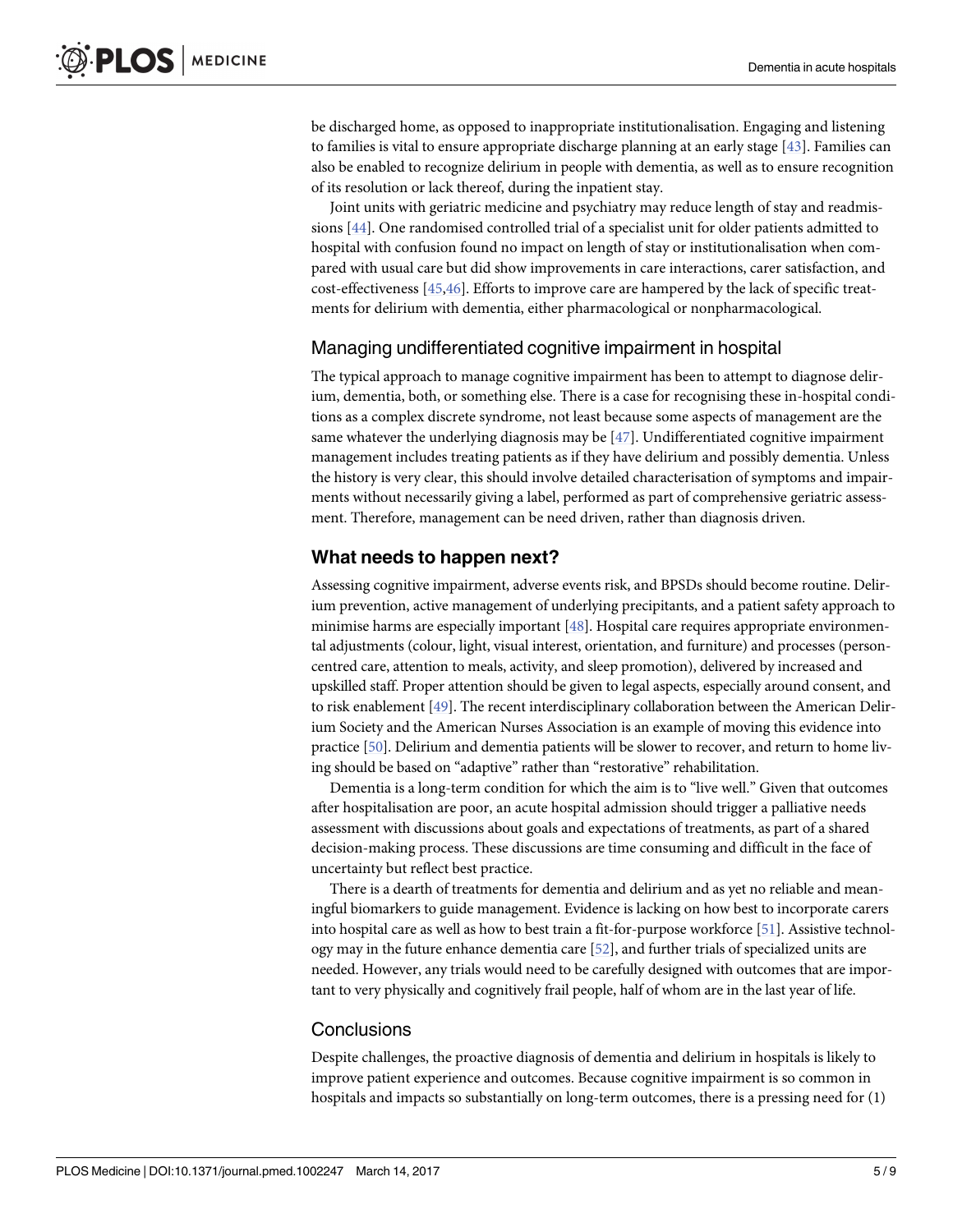<span id="page-4-0"></span>be discharged home, as opposed to inappropriate institutionalisation. Engaging and listening to families is vital to ensure appropriate discharge planning at an early stage [[43](#page-7-0)]. Families can also be enabled to recognize delirium in people with dementia, as well as to ensure recognition of its resolution or lack thereof, during the inpatient stay.

Joint units with geriatric medicine and psychiatry may reduce length of stay and readmissions [\[44\]](#page-7-0). One randomised controlled trial of a specialist unit for older patients admitted to hospital with confusion found no impact on length of stay or institutionalisation when compared with usual care but did show improvements in care interactions, carer satisfaction, and cost-effectiveness [[45](#page-7-0),[46](#page-7-0)]. Efforts to improve care are hampered by the lack of specific treatments for delirium with dementia, either pharmacological or nonpharmacological.

#### Managing undifferentiated cognitive impairment in hospital

The typical approach to manage cognitive impairment has been to attempt to diagnose delirium, dementia, both, or something else. There is a case for recognising these in-hospital conditions as a complex discrete syndrome, not least because some aspects of management are the same whatever the underlying diagnosis may be [\[47\]](#page-7-0). Undifferentiated cognitive impairment management includes treating patients as if they have delirium and possibly dementia. Unless the history is very clear, this should involve detailed characterisation of symptoms and impairments without necessarily giving a label, performed as part of comprehensive geriatric assessment. Therefore, management can be need driven, rather than diagnosis driven.

#### **What needs to happen next?**

Assessing cognitive impairment, adverse events risk, and BPSDs should become routine. Delirium prevention, active management of underlying precipitants, and a patient safety approach to minimise harms are especially important [\[48](#page-7-0)]. Hospital care requires appropriate environmental adjustments (colour, light, visual interest, orientation, and furniture) and processes (personcentred care, attention to meals, activity, and sleep promotion), delivered by increased and upskilled staff. Proper attention should be given to legal aspects, especially around consent, and to risk enablement [[49](#page-7-0)]. The recent interdisciplinary collaboration between the American Delirium Society and the American Nurses Association is an example of moving this evidence into practice [[50](#page-7-0)]. Delirium and dementia patients will be slower to recover, and return to home living should be based on "adaptive" rather than "restorative" rehabilitation.

Dementia is a long-term condition for which the aim is to "live well." Given that outcomes after hospitalisation are poor, an acute hospital admission should trigger a palliative needs assessment with discussions about goals and expectations of treatments, as part of a shared decision-making process. These discussions are time consuming and difficult in the face of uncertainty but reflect best practice.

There is a dearth of treatments for dementia and delirium and as yet no reliable and meaningful biomarkers to guide management. Evidence is lacking on how best to incorporate carers into hospital care as well as how to best train a fit-for-purpose workforce [\[51\]](#page-8-0). Assistive technology may in the future enhance dementia care [\[52\]](#page-8-0), and further trials of specialized units are needed. However, any trials would need to be carefully designed with outcomes that are important to very physically and cognitively frail people, half of whom are in the last year of life.

#### **Conclusions**

Despite challenges, the proactive diagnosis of dementia and delirium in hospitals is likely to improve patient experience and outcomes. Because cognitive impairment is so common in hospitals and impacts so substantially on long-term outcomes, there is a pressing need for (1)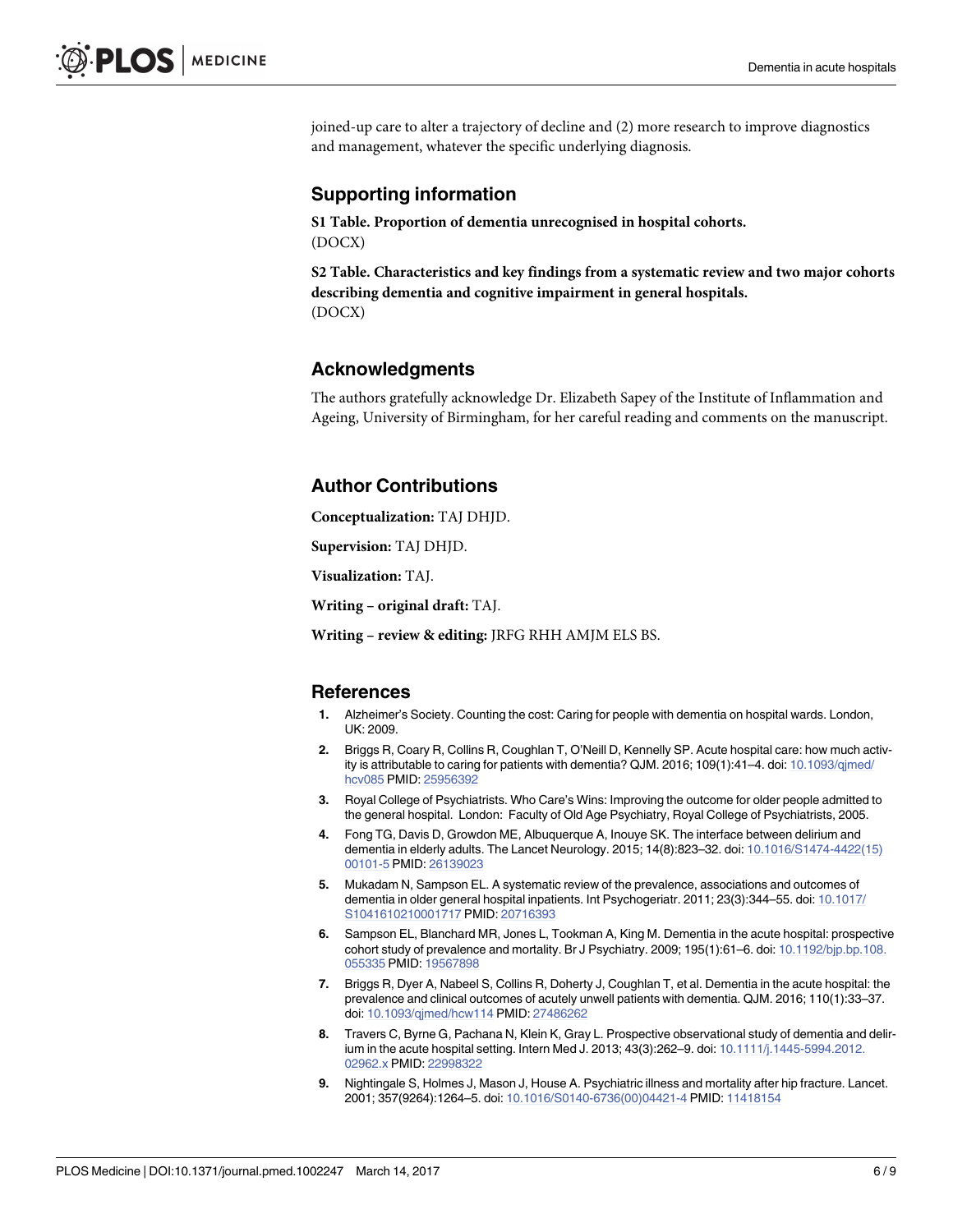<span id="page-5-0"></span>joined-up care to alter a trajectory of decline and (2) more research to improve diagnostics and management, whatever the specific underlying diagnosis.

#### **Supporting information**

**S1 [Table.](http://journals.plos.org/plosmedicine/article/asset?unique&id=info:doi/10.1371/journal.pmed.1002247.s001) Proportion of dementia unrecognised in hospital cohorts.** (DOCX)

**S2 [Table.](http://journals.plos.org/plosmedicine/article/asset?unique&id=info:doi/10.1371/journal.pmed.1002247.s002) Characteristics and key findings from a systematic review and two major cohorts describing dementia and cognitive impairment in general hospitals.** (DOCX)

#### **Acknowledgments**

The authors gratefully acknowledge Dr. Elizabeth Sapey of the Institute of Inflammation and Ageing, University of Birmingham, for her careful reading and comments on the manuscript.

#### **Author Contributions**

**Conceptualization:** TAJ DHJD.

**Supervision:** TAJ DHJD.

**Visualization:** TAJ.

**Writing – original draft:** TAJ.

**Writing – review & editing:** JRFG RHH AMJM ELS BS.

#### **References**

- **[1](#page-0-0).** Alzheimer's Society. Counting the cost: Caring for people with dementia on hospital wards. London, UK: 2009.
- **[2](#page-0-0).** Briggs R, Coary R, Collins R, Coughlan T, O'Neill D, Kennelly SP. Acute hospital care: how much activity is attributable to caring for patients with dementia? QJM. 2016; 109(1):41–4. doi: [10.1093/qjmed/](http://dx.doi.org/10.1093/qjmed/hcv085) [hcv085](http://dx.doi.org/10.1093/qjmed/hcv085) PMID: [25956392](http://www.ncbi.nlm.nih.gov/pubmed/25956392)
- **[3](#page-0-0).** Royal College of Psychiatrists. Who Care's Wins: Improving the outcome for older people admitted to the general hospital. London: Faculty of Old Age Psychiatry, Royal College of Psychiatrists, 2005.
- **[4](#page-0-0).** Fong TG, Davis D, Growdon ME, Albuquerque A, Inouye SK. The interface between delirium and dementia in elderly adults. The Lancet Neurology. 2015; 14(8):823–32. doi: [10.1016/S1474-4422\(15\)](http://dx.doi.org/10.1016/S1474-4422(15)00101-5) [00101-5](http://dx.doi.org/10.1016/S1474-4422(15)00101-5) PMID: [26139023](http://www.ncbi.nlm.nih.gov/pubmed/26139023)
- **[5](#page-1-0).** Mukadam N, Sampson EL. A systematic review of the prevalence, associations and outcomes of dementia in older general hospital inpatients. Int Psychogeriatr. 2011; 23(3):344–55. doi: [10.1017/](http://dx.doi.org/10.1017/S1041610210001717) [S1041610210001717](http://dx.doi.org/10.1017/S1041610210001717) PMID: [20716393](http://www.ncbi.nlm.nih.gov/pubmed/20716393)
- **[6](#page-1-0).** Sampson EL, Blanchard MR, Jones L, Tookman A, King M. Dementia in the acute hospital: prospective cohort study of prevalence and mortality. Br J Psychiatry. 2009; 195(1):61–6. doi: [10.1192/bjp.bp.108.](http://dx.doi.org/10.1192/bjp.bp.108.055335) [055335](http://dx.doi.org/10.1192/bjp.bp.108.055335) PMID: [19567898](http://www.ncbi.nlm.nih.gov/pubmed/19567898)
- **[7](#page-1-0).** Briggs R, Dyer A, Nabeel S, Collins R, Doherty J, Coughlan T, et al. Dementia in the acute hospital: the prevalence and clinical outcomes of acutely unwell patients with dementia. QJM. 2016; 110(1):33–37. doi: [10.1093/qjmed/hcw114](http://dx.doi.org/10.1093/qjmed/hcw114) PMID: [27486262](http://www.ncbi.nlm.nih.gov/pubmed/27486262)
- **[8](#page-1-0).** Travers C, Byrne G, Pachana N, Klein K, Gray L. Prospective observational study of dementia and delirium in the acute hospital setting. Intern Med J. 2013; 43(3):262–9. doi: [10.1111/j.1445-5994.2012.](http://dx.doi.org/10.1111/j.1445-5994.2012.02962.x) [02962.x](http://dx.doi.org/10.1111/j.1445-5994.2012.02962.x) PMID: [22998322](http://www.ncbi.nlm.nih.gov/pubmed/22998322)
- **9.** Nightingale S, Holmes J, Mason J, House A. Psychiatric illness and mortality after hip fracture. Lancet. 2001; 357(9264):1264–5. doi: [10.1016/S0140-6736\(00\)04421-4](http://dx.doi.org/10.1016/S0140-6736(00)04421-4) PMID: [11418154](http://www.ncbi.nlm.nih.gov/pubmed/11418154)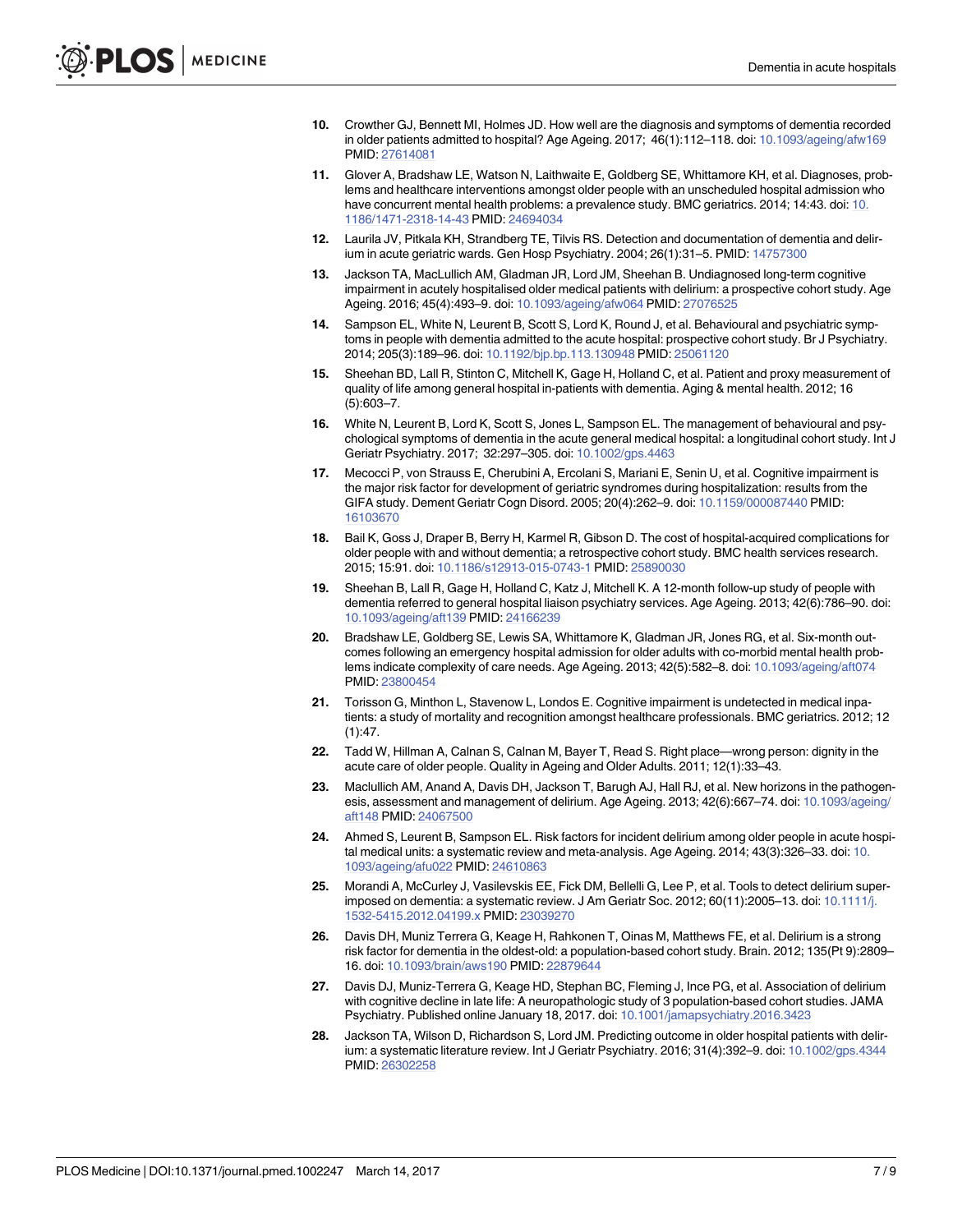- <span id="page-6-0"></span>**[10](#page-1-0).** Crowther GJ, Bennett MI, Holmes JD. How well are the diagnosis and symptoms of dementia recorded in older patients admitted to hospital? Age Ageing. 2017; 46(1):112–118. doi: [10.1093/ageing/afw169](http://dx.doi.org/10.1093/ageing/afw169) PMID: [27614081](http://www.ncbi.nlm.nih.gov/pubmed/27614081)
- **[11](#page-1-0).** Glover A, Bradshaw LE, Watson N, Laithwaite E, Goldberg SE, Whittamore KH, et al. Diagnoses, problems and healthcare interventions amongst older people with an unscheduled hospital admission who have concurrent mental health problems: a prevalence study. BMC geriatrics. 2014; 14:43. doi: [10.](http://dx.doi.org/10.1186/1471-2318-14-43) [1186/1471-2318-14-43](http://dx.doi.org/10.1186/1471-2318-14-43) PMID: [24694034](http://www.ncbi.nlm.nih.gov/pubmed/24694034)
- **[12](#page-1-0).** Laurila JV, Pitkala KH, Strandberg TE, Tilvis RS. Detection and documentation of dementia and delirium in acute geriatric wards. Gen Hosp Psychiatry. 2004; 26(1):31–5. PMID: [14757300](http://www.ncbi.nlm.nih.gov/pubmed/14757300)
- **[13](#page-1-0).** Jackson TA, MacLullich AM, Gladman JR, Lord JM, Sheehan B. Undiagnosed long-term cognitive impairment in acutely hospitalised older medical patients with delirium: a prospective cohort study. Age Ageing. 2016; 45(4):493–9. doi: [10.1093/ageing/afw064](http://dx.doi.org/10.1093/ageing/afw064) PMID: [27076525](http://www.ncbi.nlm.nih.gov/pubmed/27076525)
- **[14](#page-1-0).** Sampson EL, White N, Leurent B, Scott S, Lord K, Round J, et al. Behavioural and psychiatric symptoms in people with dementia admitted to the acute hospital: prospective cohort study. Br J Psychiatry. 2014; 205(3):189–96. doi: [10.1192/bjp.bp.113.130948](http://dx.doi.org/10.1192/bjp.bp.113.130948) PMID: [25061120](http://www.ncbi.nlm.nih.gov/pubmed/25061120)
- **[15](#page-1-0).** Sheehan BD, Lall R, Stinton C, Mitchell K, Gage H, Holland C, et al. Patient and proxy measurement of quality of life among general hospital in-patients with dementia. Aging & mental health. 2012; 16 (5):603–7.
- **[16](#page-1-0).** White N, Leurent B, Lord K, Scott S, Jones L, Sampson EL. The management of behavioural and psychological symptoms of dementia in the acute general medical hospital: a longitudinal cohort study. Int J Geriatr Psychiatry. 2017; 32:297–305. doi: [10.1002/gps.4463](http://dx.doi.org/10.1002/gps.4463)
- **[17](#page-1-0).** Mecocci P, von Strauss E, Cherubini A, Ercolani S, Mariani E, Senin U, et al. Cognitive impairment is the major risk factor for development of geriatric syndromes during hospitalization: results from the GIFA study. Dement Geriatr Cogn Disord. 2005; 20(4):262–9. doi: [10.1159/000087440](http://dx.doi.org/10.1159/000087440) PMID: [16103670](http://www.ncbi.nlm.nih.gov/pubmed/16103670)
- **[18](#page-1-0).** Bail K, Goss J, Draper B, Berry H, Karmel R, Gibson D. The cost of hospital-acquired complications for older people with and without dementia; a retrospective cohort study. BMC health services research. 2015; 15:91. doi: [10.1186/s12913-015-0743-1](http://dx.doi.org/10.1186/s12913-015-0743-1) PMID: [25890030](http://www.ncbi.nlm.nih.gov/pubmed/25890030)
- **[19](#page-1-0).** Sheehan B, Lall R, Gage H, Holland C, Katz J, Mitchell K. A 12-month follow-up study of people with dementia referred to general hospital liaison psychiatry services. Age Ageing. 2013; 42(6):786–90. doi: [10.1093/ageing/aft139](http://dx.doi.org/10.1093/ageing/aft139) PMID: [24166239](http://www.ncbi.nlm.nih.gov/pubmed/24166239)
- **[20](#page-1-0).** Bradshaw LE, Goldberg SE, Lewis SA, Whittamore K, Gladman JR, Jones RG, et al. Six-month outcomes following an emergency hospital admission for older adults with co-morbid mental health problems indicate complexity of care needs. Age Ageing. 2013; 42(5):582–8. doi: [10.1093/ageing/aft074](http://dx.doi.org/10.1093/ageing/aft074) PMID: [23800454](http://www.ncbi.nlm.nih.gov/pubmed/23800454)
- **[21](#page-1-0).** Torisson G, Minthon L, Stavenow L, Londos E. Cognitive impairment is undetected in medical inpatients: a study of mortality and recognition amongst healthcare professionals. BMC geriatrics. 2012; 12  $(1):47.$
- **[22](#page-1-0).** Tadd W, Hillman A, Calnan S, Calnan M, Bayer T, Read S. Right place—wrong person: dignity in the acute care of older people. Quality in Ageing and Older Adults. 2011; 12(1):33–43.
- **[23](#page-2-0).** Maclullich AM, Anand A, Davis DH, Jackson T, Barugh AJ, Hall RJ, et al. New horizons in the pathogenesis, assessment and management of delirium. Age Ageing. 2013; 42(6):667–74. doi: [10.1093/ageing/](http://dx.doi.org/10.1093/ageing/aft148) [aft148](http://dx.doi.org/10.1093/ageing/aft148) PMID: [24067500](http://www.ncbi.nlm.nih.gov/pubmed/24067500)
- **[24](#page-2-0).** Ahmed S, Leurent B, Sampson EL. Risk factors for incident delirium among older people in acute hospital medical units: a systematic review and meta-analysis. Age Ageing. 2014; 43(3):326–33. doi: [10.](http://dx.doi.org/10.1093/ageing/afu022) [1093/ageing/afu022](http://dx.doi.org/10.1093/ageing/afu022) PMID: [24610863](http://www.ncbi.nlm.nih.gov/pubmed/24610863)
- **[25](#page-2-0).** Morandi A, McCurley J, Vasilevskis EE, Fick DM, Bellelli G, Lee P, et al. Tools to detect delirium superimposed on dementia: a systematic review. J Am Geriatr Soc. 2012; 60(11):2005–13. doi: [10.1111/j.](http://dx.doi.org/10.1111/j.1532-5415.2012.04199.x) [1532-5415.2012.04199.x](http://dx.doi.org/10.1111/j.1532-5415.2012.04199.x) PMID: [23039270](http://www.ncbi.nlm.nih.gov/pubmed/23039270)
- **[26](#page-2-0).** Davis DH, Muniz Terrera G, Keage H, Rahkonen T, Oinas M, Matthews FE, et al. Delirium is a strong risk factor for dementia in the oldest-old: a population-based cohort study. Brain. 2012; 135(Pt 9):2809– 16. doi: [10.1093/brain/aws190](http://dx.doi.org/10.1093/brain/aws190) PMID: [22879644](http://www.ncbi.nlm.nih.gov/pubmed/22879644)
- **[27](#page-2-0).** Davis DJ, Muniz-Terrera G, Keage HD, Stephan BC, Fleming J, Ince PG, et al. Association of delirium with cognitive decline in late life: A neuropathologic study of 3 population-based cohort studies. JAMA Psychiatry. Published online January 18, 2017. doi: [10.1001/jamapsychiatry.2016.3423](http://dx.doi.org/10.1001/jamapsychiatry.2016.3423)
- **[28](#page-2-0).** Jackson TA, Wilson D, Richardson S, Lord JM. Predicting outcome in older hospital patients with delirium: a systematic literature review. Int J Geriatr Psychiatry. 2016; 31(4):392–9. doi: [10.1002/gps.4344](http://dx.doi.org/10.1002/gps.4344) PMID: [26302258](http://www.ncbi.nlm.nih.gov/pubmed/26302258)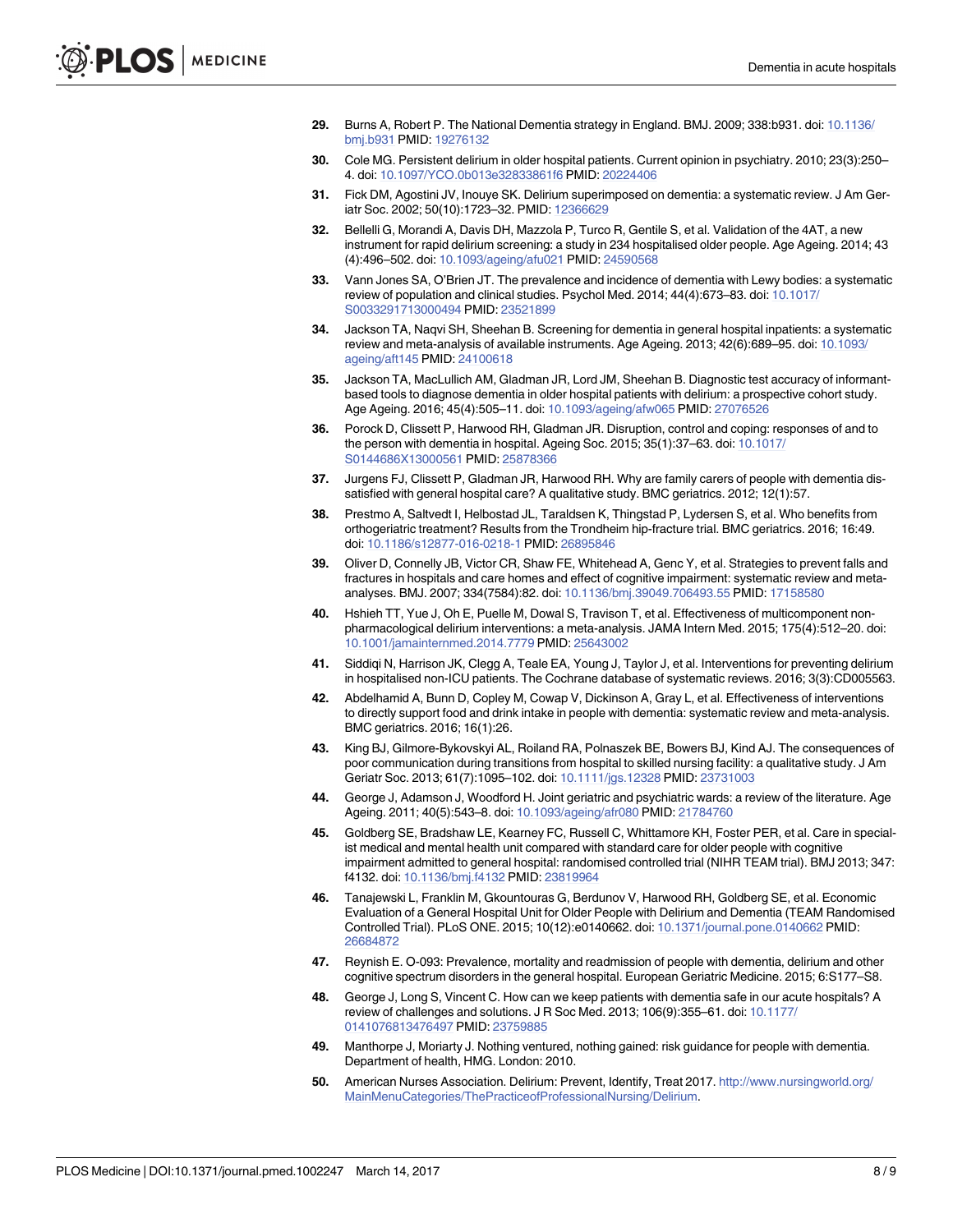- <span id="page-7-0"></span>**[29](#page-2-0).** Burns A, Robert P. The National Dementia strategy in England. BMJ. 2009; 338:b931. doi: [10.1136/](http://dx.doi.org/10.1136/bmj.b931) [bmj.b931](http://dx.doi.org/10.1136/bmj.b931) PMID: [19276132](http://www.ncbi.nlm.nih.gov/pubmed/19276132)
- **[30](#page-2-0).** Cole MG. Persistent delirium in older hospital patients. Current opinion in psychiatry. 2010; 23(3):250– 4. doi: [10.1097/YCO.0b013e32833861f6](http://dx.doi.org/10.1097/YCO.0b013e32833861f6) PMID: [20224406](http://www.ncbi.nlm.nih.gov/pubmed/20224406)
- **[31](#page-3-0).** Fick DM, Agostini JV, Inouye SK. Delirium superimposed on dementia: a systematic review. J Am Geriatr Soc. 2002; 50(10):1723–32. PMID: [12366629](http://www.ncbi.nlm.nih.gov/pubmed/12366629)
- **[32](#page-3-0).** Bellelli G, Morandi A, Davis DH, Mazzola P, Turco R, Gentile S, et al. Validation of the 4AT, a new instrument for rapid delirium screening: a study in 234 hospitalised older people. Age Ageing. 2014; 43 (4):496–502. doi: [10.1093/ageing/afu021](http://dx.doi.org/10.1093/ageing/afu021) PMID: [24590568](http://www.ncbi.nlm.nih.gov/pubmed/24590568)
- **[33](#page-3-0).** Vann Jones SA, O'Brien JT. The prevalence and incidence of dementia with Lewy bodies: a systematic review of population and clinical studies. Psychol Med. 2014; 44(4):673–83. doi: [10.1017/](http://dx.doi.org/10.1017/S0033291713000494) [S0033291713000494](http://dx.doi.org/10.1017/S0033291713000494) PMID: [23521899](http://www.ncbi.nlm.nih.gov/pubmed/23521899)
- **[34](#page-3-0).** Jackson TA, Naqvi SH, Sheehan B. Screening for dementia in general hospital inpatients: a systematic review and meta-analysis of available instruments. Age Ageing. 2013; 42(6):689–95. doi: [10.1093/](http://dx.doi.org/10.1093/ageing/aft145) [ageing/aft145](http://dx.doi.org/10.1093/ageing/aft145) PMID: [24100618](http://www.ncbi.nlm.nih.gov/pubmed/24100618)
- **[35](#page-3-0).** Jackson TA, MacLullich AM, Gladman JR, Lord JM, Sheehan B. Diagnostic test accuracy of informantbased tools to diagnose dementia in older hospital patients with delirium: a prospective cohort study. Age Ageing. 2016; 45(4):505–11. doi: [10.1093/ageing/afw065](http://dx.doi.org/10.1093/ageing/afw065) PMID: [27076526](http://www.ncbi.nlm.nih.gov/pubmed/27076526)
- **[36](#page-3-0).** Porock D, Clissett P, Harwood RH, Gladman JR. Disruption, control and coping: responses of and to the person with dementia in hospital. Ageing Soc. 2015; 35(1):37–63. doi: [10.1017/](http://dx.doi.org/10.1017/S0144686X13000561) [S0144686X13000561](http://dx.doi.org/10.1017/S0144686X13000561) PMID: [25878366](http://www.ncbi.nlm.nih.gov/pubmed/25878366)
- **[37](#page-3-0).** Jurgens FJ, Clissett P, Gladman JR, Harwood RH. Why are family carers of people with dementia dissatisfied with general hospital care? A qualitative study. BMC geriatrics. 2012; 12(1):57.
- **[38](#page-3-0).** Prestmo A, Saltvedt I, Helbostad JL, Taraldsen K, Thingstad P, Lydersen S, et al. Who benefits from orthogeriatric treatment? Results from the Trondheim hip-fracture trial. BMC geriatrics. 2016; 16:49. doi: [10.1186/s12877-016-0218-1](http://dx.doi.org/10.1186/s12877-016-0218-1) PMID: [26895846](http://www.ncbi.nlm.nih.gov/pubmed/26895846)
- **[39](#page-3-0).** Oliver D, Connelly JB, Victor CR, Shaw FE, Whitehead A, Genc Y, et al. Strategies to prevent falls and fractures in hospitals and care homes and effect of cognitive impairment: systematic review and metaanalyses. BMJ. 2007; 334(7584):82. doi: [10.1136/bmj.39049.706493.55](http://dx.doi.org/10.1136/bmj.39049.706493.55) PMID: [17158580](http://www.ncbi.nlm.nih.gov/pubmed/17158580)
- **[40](#page-3-0).** Hshieh TT, Yue J, Oh E, Puelle M, Dowal S, Travison T, et al. Effectiveness of multicomponent nonpharmacological delirium interventions: a meta-analysis. JAMA Intern Med. 2015; 175(4):512–20. doi: [10.1001/jamainternmed.2014.7779](http://dx.doi.org/10.1001/jamainternmed.2014.7779) PMID: [25643002](http://www.ncbi.nlm.nih.gov/pubmed/25643002)
- **[41](#page-3-0).** Siddiqi N, Harrison JK, Clegg A, Teale EA, Young J, Taylor J, et al. Interventions for preventing delirium in hospitalised non-ICU patients. The Cochrane database of systematic reviews. 2016; 3(3):CD005563.
- **[42](#page-3-0).** Abdelhamid A, Bunn D, Copley M, Cowap V, Dickinson A, Gray L, et al. Effectiveness of interventions to directly support food and drink intake in people with dementia: systematic review and meta-analysis. BMC geriatrics. 2016; 16(1):26.
- **[43](#page-4-0).** King BJ, Gilmore-Bykovskyi AL, Roiland RA, Polnaszek BE, Bowers BJ, Kind AJ. The consequences of poor communication during transitions from hospital to skilled nursing facility: a qualitative study. J Am Geriatr Soc. 2013; 61(7):1095–102. doi: [10.1111/jgs.12328](http://dx.doi.org/10.1111/jgs.12328) PMID: [23731003](http://www.ncbi.nlm.nih.gov/pubmed/23731003)
- **[44](#page-4-0).** George J, Adamson J, Woodford H. Joint geriatric and psychiatric wards: a review of the literature. Age Ageing. 2011; 40(5):543–8. doi: [10.1093/ageing/afr080](http://dx.doi.org/10.1093/ageing/afr080) PMID: [21784760](http://www.ncbi.nlm.nih.gov/pubmed/21784760)
- **[45](#page-4-0).** Goldberg SE, Bradshaw LE, Kearney FC, Russell C, Whittamore KH, Foster PER, et al. Care in specialist medical and mental health unit compared with standard care for older people with cognitive impairment admitted to general hospital: randomised controlled trial (NIHR TEAM trial). BMJ 2013; 347: f4132. doi: [10.1136/bmj.f4132](http://dx.doi.org/10.1136/bmj.f4132) PMID: [23819964](http://www.ncbi.nlm.nih.gov/pubmed/23819964)
- **[46](#page-4-0).** Tanajewski L, Franklin M, Gkountouras G, Berdunov V, Harwood RH, Goldberg SE, et al. Economic Evaluation of a General Hospital Unit for Older People with Delirium and Dementia (TEAM Randomised Controlled Trial). PLoS ONE. 2015; 10(12):e0140662. doi: [10.1371/journal.pone.0140662](http://dx.doi.org/10.1371/journal.pone.0140662) PMID: [26684872](http://www.ncbi.nlm.nih.gov/pubmed/26684872)
- **[47](#page-4-0).** Reynish E. O-093: Prevalence, mortality and readmission of people with dementia, delirium and other cognitive spectrum disorders in the general hospital. European Geriatric Medicine. 2015; 6:S177–S8.
- **[48](#page-4-0).** George J, Long S, Vincent C. How can we keep patients with dementia safe in our acute hospitals? A review of challenges and solutions. J R Soc Med. 2013; 106(9):355–61. doi: [10.1177/](http://dx.doi.org/10.1177/0141076813476497) [0141076813476497](http://dx.doi.org/10.1177/0141076813476497) PMID: [23759885](http://www.ncbi.nlm.nih.gov/pubmed/23759885)
- **[49](#page-4-0).** Manthorpe J, Moriarty J. Nothing ventured, nothing gained: risk guidance for people with dementia. Department of health, HMG. London: 2010.
- **[50](#page-4-0).** American Nurses Association. Delirium: Prevent, Identify, Treat 2017. [http://www.nursingworld.org/](http://www.nursingworld.org/MainMenuCategories/ThePracticeofProfessionalNursing/Delirium) [MainMenuCategories/ThePracticeofProfessionalNursing/Delirium](http://www.nursingworld.org/MainMenuCategories/ThePracticeofProfessionalNursing/Delirium).